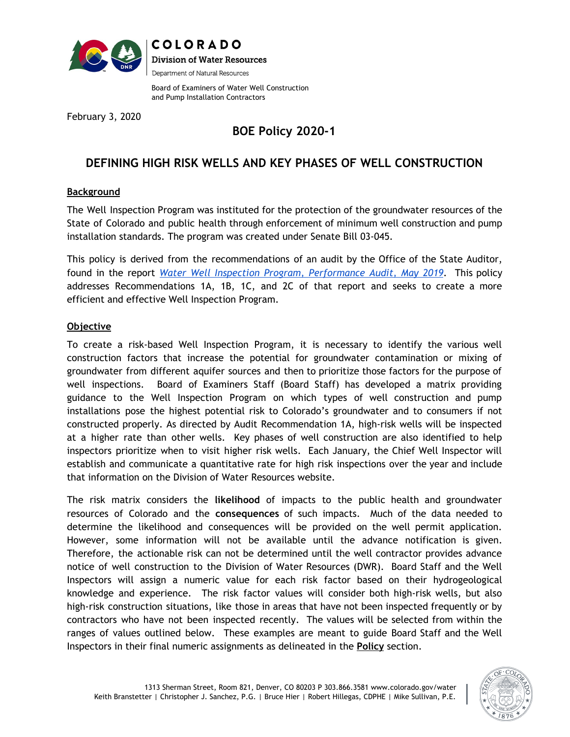

**COLORADO Division of Water Resources** Department of Natural Resources

Board of Examiners of Water Well Construction and Pump Installation Contractors

February 3, 2020

# **BOE Policy 2020-1**

# **DEFINING HIGH RISK WELLS AND KEY PHASES OF WELL CONSTRUCTION**

# **Background**

The Well Inspection Program was instituted for the protection of the groundwater resources of the State of Colorado and public health through enforcement of minimum well construction and pump installation standards. The program was created under Senate Bill 03-045.

This policy is derived from the recommendations of an audit by the Office of the State Auditor, found in the report *Water Well Inspection Program, [Performance](https://leg.colorado.gov/sites/default/files/documents/audits/1816p_water_well_inspection_program.pdf) Audit, May 2019*. This policy addresses Recommendations 1A, 1B, 1C, and 2C of that report and seeks to create a more efficient and effective Well Inspection Program.

# **Objective**

To create a risk-based Well Inspection Program, it is necessary to identify the various well construction factors that increase the potential for groundwater contamination or mixing of groundwater from different aquifer sources and then to prioritize those factors for the purpose of well inspections. Board of Examiners Staff (Board Staff) has developed a matrix providing guidance to the Well Inspection Program on which types of well construction and pump installations pose the highest potential risk to Colorado's groundwater and to consumers if not constructed properly. As directed by Audit Recommendation 1A, high-risk wells will be inspected at a higher rate than other wells. Key phases of well construction are also identified to help inspectors prioritize when to visit higher risk wells. Each January, the Chief Well Inspector will establish and communicate a quantitative rate for high risk inspections over the year and include that information on the Division of Water Resources website.

The risk matrix considers the **likelihood** of impacts to the public health and groundwater resources of Colorado and the **consequences** of such impacts. Much of the data needed to determine the likelihood and consequences will be provided on the well permit application. However, some information will not be available until the advance notification is given. Therefore, the actionable risk can not be determined until the well contractor provides advance notice of well construction to the Division of Water Resources (DWR). Board Staff and the Well Inspectors will assign a numeric value for each risk factor based on their hydrogeological knowledge and experience. The risk factor values will consider both high-risk wells, but also high-risk construction situations, like those in areas that have not been inspected frequently or by contractors who have not been inspected recently. The values will be selected from within the ranges of values outlined below. These examples are meant to guide Board Staff and the Well Inspectors in their final numeric assignments as delineated in the **Policy** section.

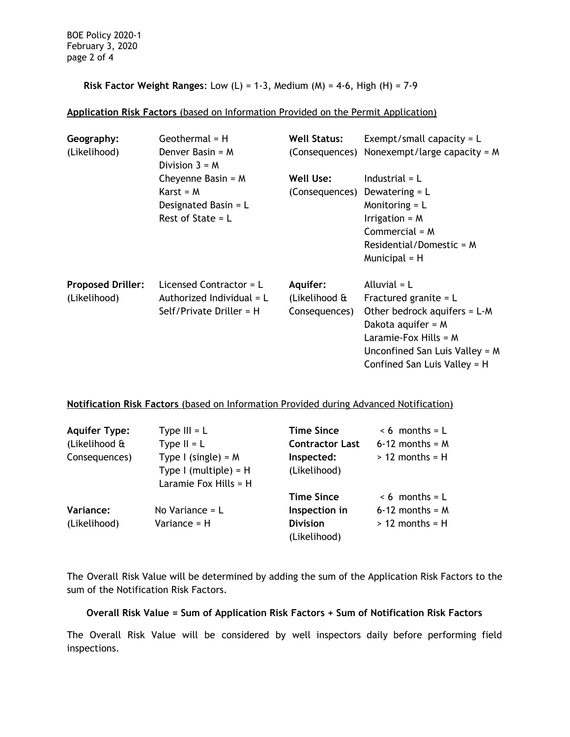BOE Policy 2020-1 February 3, 2020 page 2 of 4

**Risk Factor Weight Ranges**: Low (L) = 1-3, Medium (M) = 4-6, High (H) = 7-9

#### **Application Risk Factors** (based on Information Provided on the Permit Application)

| Geography:<br>(Likelihood)               | Geothermal $=$ H<br>Denver Basin = $M$<br>Division $3 = M$                           | <b>Well Status:</b>                        | Exempt/small capacity = $L$<br>(Consequences) Nonexempt/large capacity = $M$                                                                                                                     |
|------------------------------------------|--------------------------------------------------------------------------------------|--------------------------------------------|--------------------------------------------------------------------------------------------------------------------------------------------------------------------------------------------------|
|                                          | Cheyenne Basin = $M$<br>$Karst = M$<br>Designated Basin = $L$<br>Rest of State = $L$ | Well Use:<br>(Consequences)                | Industrial $= L$<br>Dewatering $= L$<br>Monitoring $= L$<br>Irrigation = $M$<br>Commercial = $M$<br>Residential/Domestic = $M$<br>Municipal $=$ H                                                |
| <b>Proposed Driller:</b><br>(Likelihood) | Licensed Contractor = $L$<br>Authorized Individual = $L$<br>Self/Private Driller = H | Aquifer:<br>(Likelihood &<br>Consequences) | Alluvial $= L$<br>Fractured granite = $L$<br>Other bedrock aquifers = $L-M$<br>Dakota aquifer = $M$<br>Laramie-Fox Hills = $M$<br>Unconfined San Luis Valley = M<br>Confined San Luis Valley = H |

#### **Notification Risk Factors** (based on Information Provided during Advanced Notification)

| <b>Aquifer Type:</b><br>(Likelihood &<br>Consequences) | Type $III = L$<br>Type $II = L$<br>Type I (single) = $M$<br>Type I (multiple) = $H$<br>Laramie Fox Hills = $H$ | <b>Time Since</b><br><b>Contractor Last</b><br>Inspected:<br>(Likelihood) | $< 6$ months = L<br>$6-12$ months = M<br>$> 12$ months = H    |
|--------------------------------------------------------|----------------------------------------------------------------------------------------------------------------|---------------------------------------------------------------------------|---------------------------------------------------------------|
| Variance:<br>(Likelihood)                              | No Variance $= L$<br>Variance = H                                                                              | <b>Time Since</b><br>Inspection in<br><b>Division</b><br>(Likelihood)     | $\leq 6$ months = L<br>$6-12$ months = M<br>$> 12$ months = H |

The Overall Risk Value will be determined by adding the sum of the Application Risk Factors to the sum of the Notification Risk Factors.

#### **Overall Risk Value = Sum of Application Risk Factors + Sum of Notification Risk Factors**

The Overall Risk Value will be considered by well inspectors daily before performing field inspections.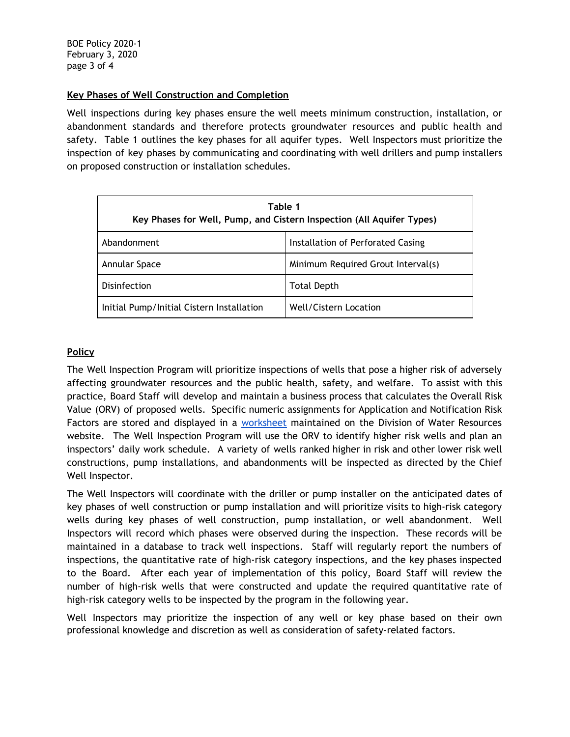### **Key Phases of Well Construction and Completion**

Well inspections during key phases ensure the well meets minimum construction, installation, or abandonment standards and therefore protects groundwater resources and public health and safety. Table 1 outlines the key phases for all aquifer types. Well Inspectors must prioritize the inspection of key phases by communicating and coordinating with well drillers and pump installers on proposed construction or installation schedules.

| Table 1<br>Key Phases for Well, Pump, and Cistern Inspection (All Aquifer Types) |                                    |  |  |
|----------------------------------------------------------------------------------|------------------------------------|--|--|
| Abandonment                                                                      | Installation of Perforated Casing  |  |  |
| Annular Space                                                                    | Minimum Required Grout Interval(s) |  |  |
| Disinfection                                                                     | <b>Total Depth</b>                 |  |  |
| Initial Pump/Initial Cistern Installation                                        | Well/Cistern Location              |  |  |

#### **Policy**

The Well Inspection Program will prioritize inspections of wells that pose a higher risk of adversely affecting groundwater resources and the public health, safety, and welfare. To assist with this practice, Board Staff will develop and maintain a business process that calculates the Overall Risk Value (ORV) of proposed wells. Specific numeric assignments for Application and Notification Risk Factors are stored and displayed in a [worksheet](https://docs.google.com/spreadsheets/d/1XpT2pM_Thr6iy7hSxU5Jw3VntVttMWGIQ3ZYtfnx-BY/edit?usp=sharing) maintained on the Division of Water Resources website. The Well Inspection Program will use the ORV to identify higher risk wells and plan an inspectors' daily work schedule. A variety of wells ranked higher in risk and other lower risk well constructions, pump installations, and abandonments will be inspected as directed by the Chief Well Inspector.

The Well Inspectors will coordinate with the driller or pump installer on the anticipated dates of key phases of well construction or pump installation and will prioritize visits to high-risk category wells during key phases of well construction, pump installation, or well abandonment. Well Inspectors will record which phases were observed during the inspection. These records will be maintained in a database to track well inspections. Staff will regularly report the numbers of inspections, the quantitative rate of high-risk category inspections, and the key phases inspected to the Board. After each year of implementation of this policy, Board Staff will review the number of high-risk wells that were constructed and update the required quantitative rate of high-risk category wells to be inspected by the program in the following year.

Well Inspectors may prioritize the inspection of any well or key phase based on their own professional knowledge and discretion as well as consideration of safety-related factors.